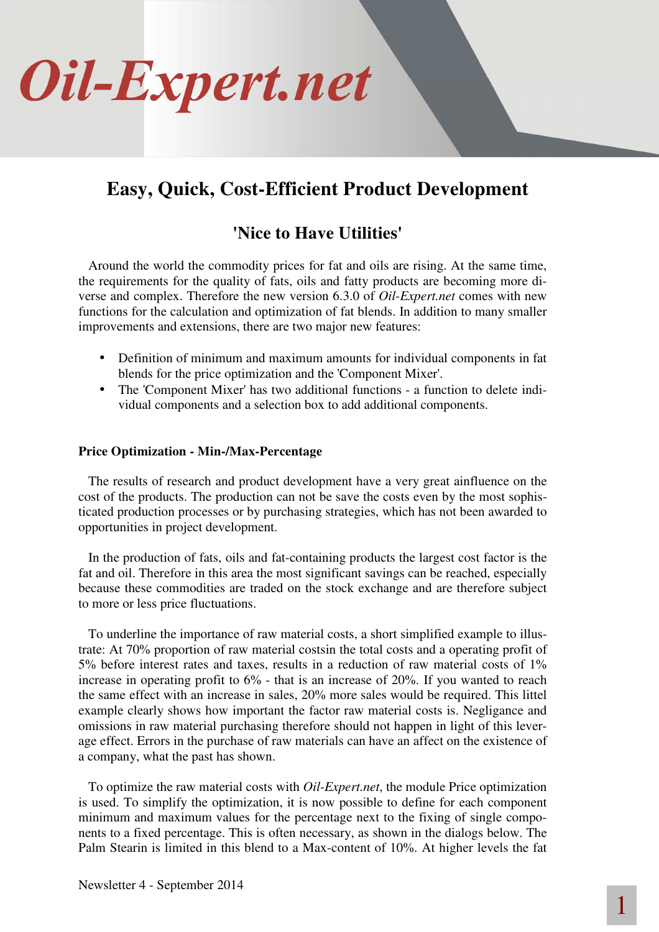

## **Easy, Quick, Cost-Efficient Product Development**

## **'Nice to Have Utilities'**

Around the world the commodity prices for fat and oils are rising. At the same time, the requirements for the quality of fats, oils and fatty products are becoming more diverse and complex. Therefore the new version 6.3.0 of *Oil-Expert.net* comes with new functions for the calculation and optimization of fat blends. In addition to many smaller improvements and extensions, there are two major new features:

- Definition of minimum and maximum amounts for individual components in fat blends for the price optimization and the 'Component Mixer'.
- The 'Component Mixer' has two additional functions a function to delete individual components and a selection box to add additional components.

## **Price Optimization - Min-/Max-Percentage**

The results of research and product development have a very great ainfluence on the cost of the products. The production can not be save the costs even by the most sophisticated production processes or by purchasing strategies, which has not been awarded to opportunities in project development.

In the production of fats, oils and fat-containing products the largest cost factor is the fat and oil. Therefore in this area the most significant savings can be reached, especially because these commodities are traded on the stock exchange and are therefore subject to more or less price fluctuations.

To underline the importance of raw material costs, a short simplified example to illustrate: At 70% proportion of raw material costsin the total costs and a operating profit of 5% before interest rates and taxes, results in a reduction of raw material costs of 1% increase in operating profit to 6% - that is an increase of 20%. If you wanted to reach the same effect with an increase in sales, 20% more sales would be required. This littel example clearly shows how important the factor raw material costs is. Negligance and omissions in raw material purchasing therefore should not happen in light of this leverage effect. Errors in the purchase of raw materials can have an affect on the existence of a company, what the past has shown.

To optimize the raw material costs with *Oil-Expert.net*, the module Price optimization is used. To simplify the optimization, it is now possible to define for each component minimum and maximum values for the percentage next to the fixing of single components to a fixed percentage. This is often necessary, as shown in the dialogs below. The Palm Stearin is limited in this blend to a Max-content of 10%. At higher levels the fat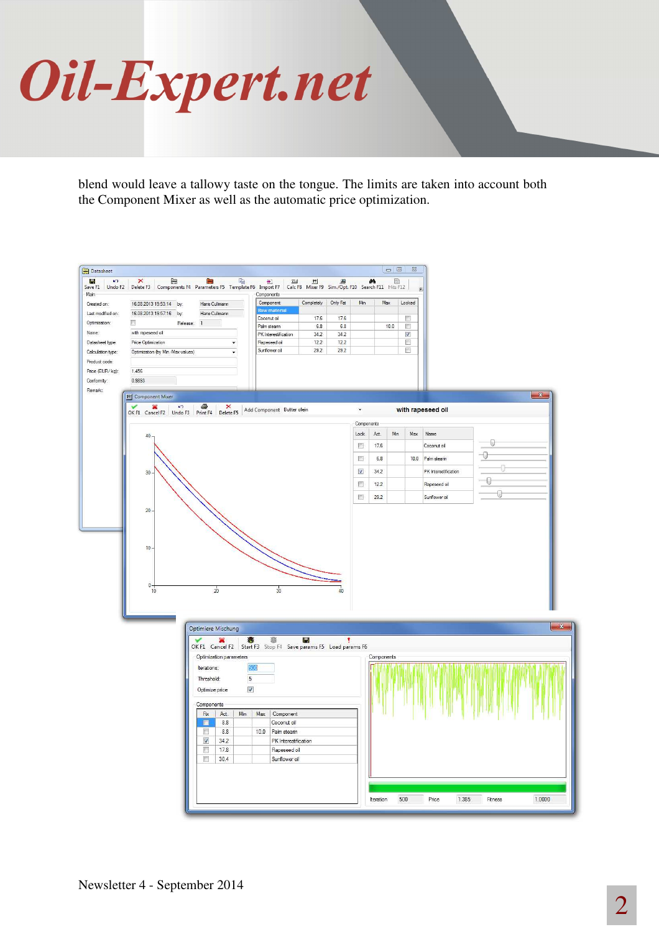

blend would leave a tallowy taste on the tongue. The limits are taken into account both the Component Mixer as well as the automatic price optimization.

| <b>Datasheet</b>  |                                   |                                                                                       |                                                                  |                                                         |          |                         |            | $\Box$ | $\Sigma$           |                      |         |              |
|-------------------|-----------------------------------|---------------------------------------------------------------------------------------|------------------------------------------------------------------|---------------------------------------------------------|----------|-------------------------|------------|--------|--------------------|----------------------|---------|--------------|
| e<br>k)           | ×<br>自                            | e<br>睔<br>Save F1 Undo F2 Delete F3 Components F4 Parameters F5 Template F6 Import F7 | $\Xi$<br>$\bullet$                                               | 州<br>Calc F8 Mixer F9 Sim./Opt. F10 Search F11 Hits F12 | B        |                         | M          | 曲      |                    |                      |         |              |
| Main              |                                   |                                                                                       | Components                                                       |                                                         |          |                         |            |        | $\bar{z}$          |                      |         |              |
| Created on:       | 16.08.2013 19:53:14 by:           | Hans Cullmann                                                                         | Component                                                        | Completely                                              | Only Fat | Min                     | Max        |        | Locked             |                      |         |              |
| Last modified on: | 16.08.2013 19:57:16<br>by:        | Hans Cullmann                                                                         | Raw materia<br>Coconut oil                                       | 17.6                                                    | 17.6     |                         |            |        | E.                 |                      |         |              |
| Optimization:     | 圓                                 | Release: 1                                                                            | Palm stearin                                                     | 6.8                                                     | 6.8      |                         |            | 10.0   | $\Box$             |                      |         |              |
| Name:             | with rapeseed oil                 |                                                                                       | PK Interestification                                             | 34.2                                                    | 34.2     |                         |            |        | $\pmb{\checkmark}$ |                      |         |              |
| Datasheet type:   | Price Optimization                |                                                                                       | Rapeseed oil                                                     | 12.2                                                    | 12.2     |                         |            |        | $\blacksquare$     |                      |         |              |
| Calculation type: | Optimization (by Min.-Max-values) |                                                                                       | Sunflower oil                                                    | 29.2                                                    | 29.2     |                         |            |        | $\blacksquare$     |                      |         |              |
| Product code:     |                                   |                                                                                       |                                                                  |                                                         |          |                         |            |        |                    |                      |         |              |
| Price (EUR/kg):   | 1.456                             |                                                                                       |                                                                  |                                                         |          |                         |            |        |                    |                      |         |              |
| Conformity:       | 0.9893                            |                                                                                       |                                                                  |                                                         |          |                         |            |        |                    |                      |         |              |
| Remark:           | <b>If Component Mixer</b>         |                                                                                       |                                                                  |                                                         |          |                         |            |        |                    |                      |         | $\mathbf{x}$ |
|                   |                                   |                                                                                       |                                                                  |                                                         |          |                         |            |        |                    |                      |         |              |
|                   |                                   | OKF1 Cancel F2 Undo F3 Print F4 Delete F5 Add Component Butter olein                  |                                                                  |                                                         |          | $\bullet$               |            |        |                    | with rapeseed oil    |         |              |
|                   |                                   |                                                                                       |                                                                  |                                                         |          | Components              |            |        |                    |                      |         |              |
|                   | 40                                |                                                                                       |                                                                  |                                                         |          | Lock.                   | Act.       | Min.   | Max                | Name                 |         |              |
|                   |                                   |                                                                                       |                                                                  |                                                         |          | ▣                       | 17.6       |        |                    | Coconut oil          | ŧ.      |              |
|                   |                                   |                                                                                       |                                                                  |                                                         |          | E                       | 6.8        |        | 10.0               | Palm stearin         | 0       |              |
|                   |                                   |                                                                                       |                                                                  |                                                         |          |                         |            |        |                    |                      |         |              |
|                   | 30                                |                                                                                       |                                                                  |                                                         |          | $\overline{\mathbf{v}}$ | 34.2       |        |                    | PK Interestification |         |              |
|                   |                                   |                                                                                       |                                                                  |                                                         |          | B                       | 12.2       |        |                    | Rapeseed oil         | 0       |              |
|                   |                                   |                                                                                       |                                                                  |                                                         |          | B                       | 29.2       |        |                    | Sunflower oil        | U       |              |
|                   |                                   |                                                                                       |                                                                  |                                                         |          |                         |            |        |                    |                      |         |              |
|                   | $20 -$                            |                                                                                       |                                                                  |                                                         |          |                         |            |        |                    |                      |         |              |
|                   |                                   |                                                                                       |                                                                  |                                                         |          |                         |            |        |                    |                      |         |              |
|                   |                                   |                                                                                       |                                                                  |                                                         |          |                         |            |        |                    |                      |         |              |
|                   |                                   |                                                                                       |                                                                  |                                                         |          |                         |            |        |                    |                      |         |              |
|                   |                                   |                                                                                       |                                                                  |                                                         |          |                         |            |        |                    |                      |         |              |
|                   | $10 -$                            |                                                                                       |                                                                  |                                                         |          |                         |            |        |                    |                      |         |              |
|                   |                                   |                                                                                       |                                                                  |                                                         |          |                         |            |        |                    |                      |         |              |
|                   |                                   |                                                                                       |                                                                  |                                                         |          |                         |            |        |                    |                      |         |              |
|                   |                                   |                                                                                       |                                                                  |                                                         |          |                         |            |        |                    |                      |         |              |
|                   | $^{0}$ +                          | $\frac{1}{20}$                                                                        | 30                                                               |                                                         | 40       |                         |            |        |                    |                      |         |              |
|                   |                                   |                                                                                       |                                                                  |                                                         |          |                         |            |        |                    |                      |         |              |
|                   |                                   |                                                                                       |                                                                  |                                                         |          |                         |            |        |                    |                      |         |              |
|                   |                                   |                                                                                       |                                                                  |                                                         |          |                         |            |        |                    |                      |         |              |
|                   |                                   | Optimiere Mischung                                                                    |                                                                  |                                                         |          |                         |            |        |                    |                      |         |              |
|                   |                                   | ×                                                                                     | T.<br>邃                                                          | Ы                                                       |          |                         |            |        |                    |                      |         |              |
|                   |                                   | Optimization parameters                                                               | OK F1 Cancel F2   Start F3 Stop F4 Save params F5 Load params F6 |                                                         |          |                         | Components |        |                    |                      |         |              |
|                   |                                   |                                                                                       | 500                                                              |                                                         |          |                         |            |        |                    |                      |         |              |
|                   |                                   | Iterations:                                                                           |                                                                  |                                                         |          |                         |            |        |                    |                      |         |              |
|                   |                                   | Threshold:                                                                            | 5                                                                |                                                         |          |                         |            |        |                    |                      |         |              |
|                   |                                   | Optimize price                                                                        | $\overline{\mathbf{v}}$                                          |                                                         |          |                         |            |        |                    |                      |         |              |
|                   |                                   | Components                                                                            |                                                                  |                                                         |          |                         |            |        |                    |                      |         |              |
|                   |                                   | Fix<br>Min<br>Act.                                                                    | Max<br>Component                                                 |                                                         |          |                         |            |        |                    |                      |         |              |
|                   |                                   | 8.8<br>П                                                                              | Coconut oil                                                      |                                                         |          |                         |            |        |                    |                      |         |              |
|                   |                                   | $\blacksquare$<br>8.8                                                                 | 10.0<br>Palm stearin                                             |                                                         |          |                         |            |        |                    |                      |         |              |
|                   |                                   | $\overline{\mathcal{L}}$<br>34.2                                                      | PK Interestification                                             |                                                         |          |                         |            |        |                    |                      |         |              |
|                   |                                   | $\blacksquare$<br>17.8                                                                | Rapeseed oil                                                     |                                                         |          |                         |            |        |                    |                      |         |              |
|                   |                                   | $\blacksquare$<br>30.4                                                                | Sunflower oil                                                    |                                                         |          |                         |            |        |                    |                      |         |              |
|                   |                                   |                                                                                       |                                                                  |                                                         |          |                         |            |        |                    |                      |         | $\mathbf{x}$ |
|                   |                                   |                                                                                       |                                                                  |                                                         |          |                         |            |        |                    |                      |         |              |
|                   |                                   |                                                                                       |                                                                  |                                                         |          |                         |            | 500    |                    | 1.385<br>Price       | Fitness | 1.0000       |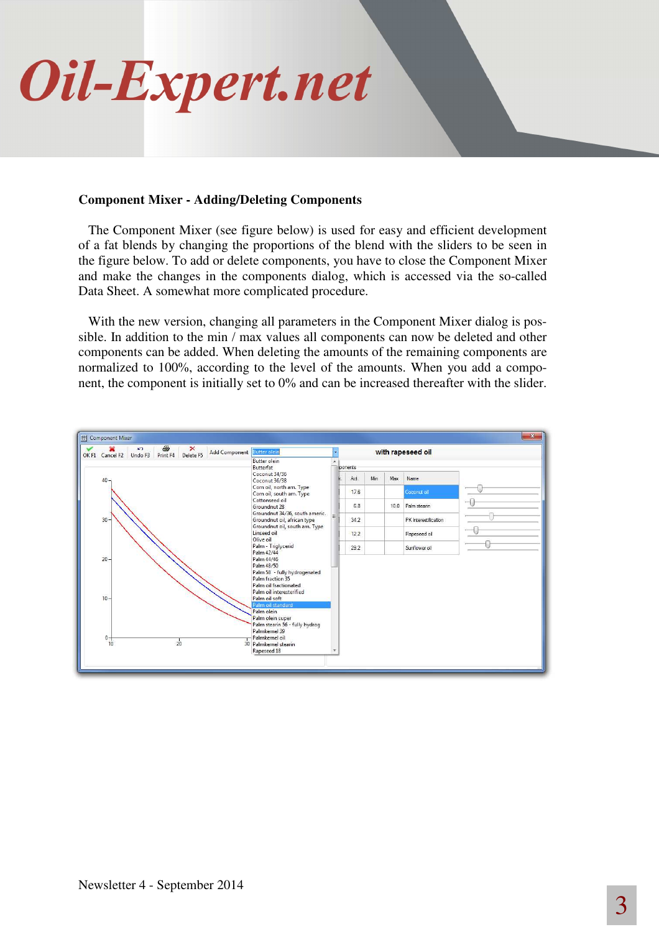

## **Component Mixer - Adding/Deleting Components**

The Component Mixer (see figure below) is used for easy and efficient development of a fat blends by changing the proportions of the blend with the sliders to be seen in the figure below. To add or delete components, you have to close the Component Mixer and make the changes in the components dialog, which is accessed via the so-called Data Sheet. A somewhat more complicated procedure.

With the new version, changing all parameters in the Component Mixer dialog is possible. In addition to the min / max values all components can now be deleted and other components can be added. When deleting the amounts of the remaining components are normalized to 100%, according to the level of the amounts. When you add a component, the component is initially set to 0% and can be increased thereafter with the slider.